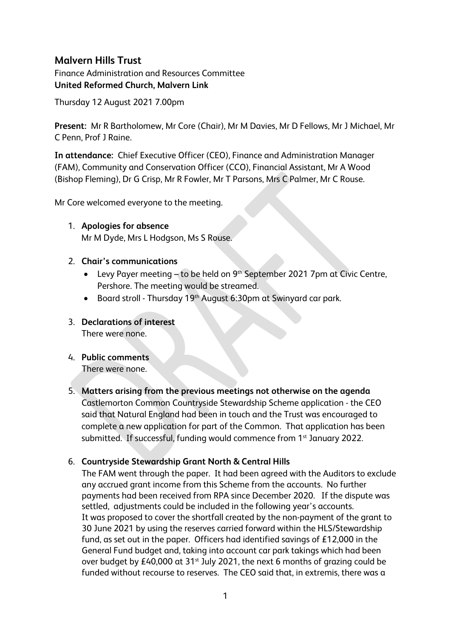# **Malvern Hills Trust**

Finance Administration and Resources Committee **United Reformed Church, Malvern Link**

Thursday 12 August 2021 7.00pm

**Present:** Mr R Bartholomew, Mr Core (Chair), Mr M Davies, Mr D Fellows, Mr J Michael, Mr C Penn, Prof J Raine.

**In attendance:** Chief Executive Officer (CEO), Finance and Administration Manager (FAM), Community and Conservation Officer (CCO), Financial Assistant, Mr A Wood (Bishop Fleming), Dr G Crisp, Mr R Fowler, Mr T Parsons, Mrs C Palmer, Mr C Rouse.

Mr Core welcomed everyone to the meeting.

- 1. **Apologies for absence**  Mr M Dyde, Mrs L Hodgson, Ms S Rouse.
- 2. **Chair's communications**
	- Levy Payer meeting to be held on 9<sup>th</sup> September 2021 7pm at Civic Centre, Pershore. The meeting would be streamed.
	- Board stroll Thursday 19<sup>th</sup> August 6:30pm at Swinyard car park.
- 3. **Declarations of interest** There were none.
- 4. **Public comments** There were none.
- 5. **Matters arising from the previous meetings not otherwise on the agenda** Castlemorton Common Countryside Stewardship Scheme application - the CEO said that Natural England had been in touch and the Trust was encouraged to complete a new application for part of the Common. That application has been submitted. If successful, funding would commence from 1<sup>st</sup> January 2022.

## 6. **Countryside Stewardship Grant North & Central Hills**

The FAM went through the paper. It had been agreed with the Auditors to exclude any accrued grant income from this Scheme from the accounts. No further payments had been received from RPA since December 2020. If the dispute was settled, adjustments could be included in the following year's accounts. It was proposed to cover the shortfall created by the non-payment of the grant to 30 June 2021 by using the reserves carried forward within the HLS/Stewardship fund, as set out in the paper. Officers had identified savings of £12,000 in the General Fund budget and, taking into account car park takings which had been over budget by £40,000 at 31<sup>st</sup> July 2021, the next 6 months of grazing could be funded without recourse to reserves. The CEO said that, in extremis, there was a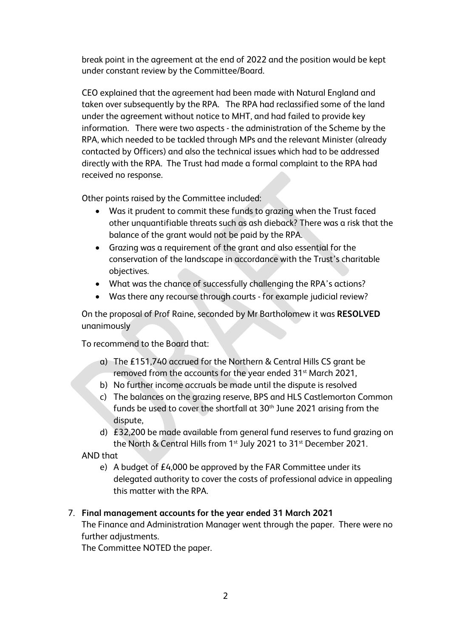break point in the agreement at the end of 2022 and the position would be kept under constant review by the Committee/Board.

CEO explained that the agreement had been made with Natural England and taken over subsequently by the RPA. The RPA had reclassified some of the land under the agreement without notice to MHT, and had failed to provide key information. There were two aspects - the administration of the Scheme by the RPA, which needed to be tackled through MPs and the relevant Minister (already contacted by Officers) and also the technical issues which had to be addressed directly with the RPA. The Trust had made a formal complaint to the RPA had received no response.

Other points raised by the Committee included:

- Was it prudent to commit these funds to grazing when the Trust faced other unquantifiable threats such as ash dieback? There was a risk that the balance of the grant would not be paid by the RPA.
- Grazing was a requirement of the grant and also essential for the conservation of the landscape in accordance with the Trust's charitable objectives.
- What was the chance of successfully challenging the RPA's actions?
- Was there any recourse through courts for example judicial review?

On the proposal of Prof Raine, seconded by Mr Bartholomew it was **RESOLVED**  unanimously

To recommend to the Board that:

- a) The £151,740 accrued for the Northern & Central Hills CS grant be removed from the accounts for the year ended 31<sup>st</sup> March 2021,
- b) No further income accruals be made until the dispute is resolved
- c) The balances on the grazing reserve, BPS and HLS Castlemorton Common funds be used to cover the shortfall at 30<sup>th</sup> June 2021 arising from the dispute,
- d) £32,200 be made available from general fund reserves to fund grazing on the North & Central Hills from 1<sup>st</sup> July 2021 to 31<sup>st</sup> December 2021.

AND that

e) A budget of £4,000 be approved by the FAR Committee under its delegated authority to cover the costs of professional advice in appealing this matter with the RPA.

## 7. **Final management accounts for the year ended 31 March 2021**

The Finance and Administration Manager went through the paper. There were no further adjustments.

The Committee NOTED the paper.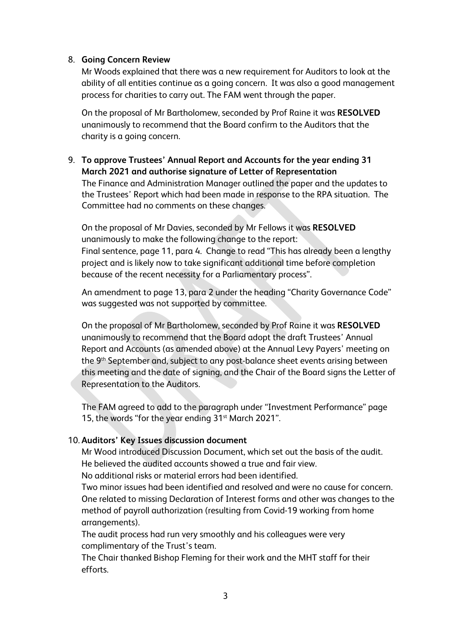### 8. **Going Concern Review**

Mr Woods explained that there was a new requirement for Auditors to look at the ability of all entities continue as a going concern. It was also a good management process for charities to carry out. The FAM went through the paper.

On the proposal of Mr Bartholomew, seconded by Prof Raine it was **RESOLVED**  unanimously to recommend that the Board confirm to the Auditors that the charity is a going concern.

9. **To approve Trustees' Annual Report and Accounts for the year ending 31 March 2021 and authorise signature of Letter of Representation** The Finance and Administration Manager outlined the paper and the updates to the Trustees' Report which had been made in response to the RPA situation. The Committee had no comments on these changes.

On the proposal of Mr Davies, seconded by Mr Fellows it was **RESOLVED**  unanimously to make the following change to the report: Final sentence, page 11, para 4. Change to read "This has already been a lengthy project and is likely now to take significant additional time before completion because of the recent necessity for a Parliamentary process".

An amendment to page 13, para 2 under the heading "Charity Governance Code" was suggested was not supported by committee.

On the proposal of Mr Bartholomew, seconded by Prof Raine it was **RESOLVED**  unanimously to recommend that the Board adopt the draft Trustees' Annual Report and Accounts (as amended above) at the Annual Levy Payers' meeting on the 9th September and, subject to any post-balance sheet events arising between this meeting and the date of signing, and the Chair of the Board signs the Letter of Representation to the Auditors.

The FAM agreed to add to the paragraph under "Investment Performance" page 15, the words "for the year ending 31<sup>st</sup> March 2021".

### 10. **Auditors' Key Issues discussion document**

Mr Wood introduced Discussion Document, which set out the basis of the audit. He believed the audited accounts showed a true and fair view. No additional risks or material errors had been identified.

Two minor issues had been identified and resolved and were no cause for concern. One related to missing Declaration of Interest forms and other was changes to the method of payroll authorization (resulting from Covid-19 working from home arrangements).

The audit process had run very smoothly and his colleagues were very complimentary of the Trust's team.

The Chair thanked Bishop Fleming for their work and the MHT staff for their efforts.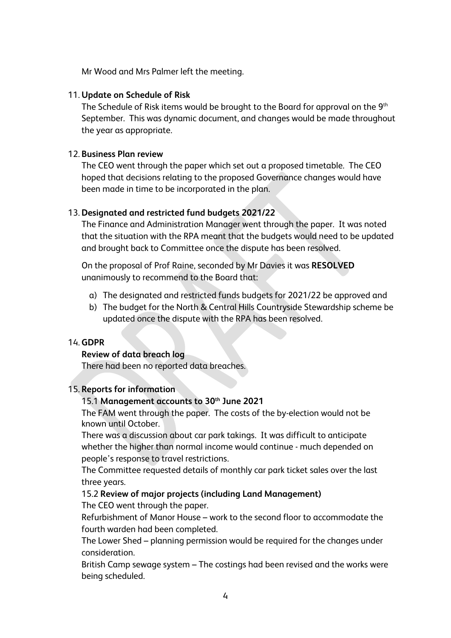Mr Wood and Mrs Palmer left the meeting.

### 11. **Update on Schedule of Risk**

The Schedule of Risk items would be brought to the Board for approval on the 9<sup>th</sup> September. This was dynamic document, and changes would be made throughout the year as appropriate.

## 12. **Business Plan review**

The CEO went through the paper which set out a proposed timetable. The CEO hoped that decisions relating to the proposed Governance changes would have been made in time to be incorporated in the plan.

## 13. **Designated and restricted fund budgets 2021/22**

The Finance and Administration Manager went through the paper. It was noted that the situation with the RPA meant that the budgets would need to be updated and brought back to Committee once the dispute has been resolved.

On the proposal of Prof Raine, seconded by Mr Davies it was **RESOLVED**  unanimously to recommend to the Board that:

- a) The designated and restricted funds budgets for 2021/22 be approved and
- b) The budget for the North & Central Hills Countryside Stewardship scheme be updated once the dispute with the RPA has been resolved.

## 14. **GDPR**

### **Review of data breach log**

There had been no reported data breaches.

### 15. **Reports for information**

# 15.1 **Management accounts to 30th June 2021**

The FAM went through the paper. The costs of the by-election would not be known until October.

There was a discussion about car park takings. It was difficult to anticipate whether the higher than normal income would continue - much depended on people's response to travel restrictions.

The Committee requested details of monthly car park ticket sales over the last three years.

## 15.2 **Review of major projects (including Land Management)**

The CEO went through the paper.

Refurbishment of Manor House – work to the second floor to accommodate the fourth warden had been completed.

The Lower Shed – planning permission would be required for the changes under consideration.

British Camp sewage system – The costings had been revised and the works were being scheduled.